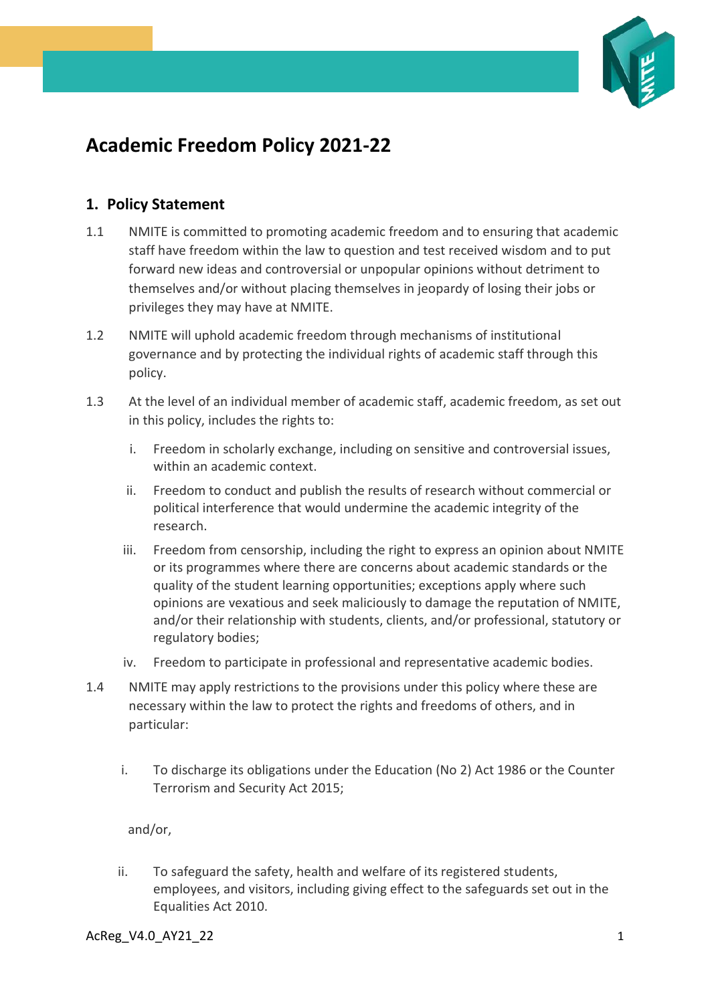

## **Academic Freedom Policy 2021-22**

## **1. Policy Statement**

- 1.1 NMITE is committed to promoting academic freedom and to ensuring that academic staff have freedom within the law to question and test received wisdom and to put forward new ideas and controversial or unpopular opinions without detriment to themselves and/or without placing themselves in jeopardy of losing their jobs or privileges they may have at NMITE.
- 1.2 NMITE will uphold academic freedom through mechanisms of institutional governance and by protecting the individual rights of academic staff through this policy.
- 1.3 At the level of an individual member of academic staff, academic freedom, as set out in this policy, includes the rights to:
	- i. Freedom in scholarly exchange, including on sensitive and controversial issues, within an academic context.
	- ii. Freedom to conduct and publish the results of research without commercial or political interference that would undermine the academic integrity of the research.
	- iii. Freedom from censorship, including the right to express an opinion about NMITE or its programmes where there are concerns about academic standards or the quality of the student learning opportunities; exceptions apply where such opinions are vexatious and seek maliciously to damage the reputation of NMITE, and/or their relationship with students, clients, and/or professional, statutory or regulatory bodies;
	- iv. Freedom to participate in professional and representative academic bodies.
- 1.4 NMITE may apply restrictions to the provisions under this policy where these are necessary within the law to protect the rights and freedoms of others, and in particular:
	- i. To discharge its obligations under the Education (No 2) Act 1986 or the Counter Terrorism and Security Act 2015;

and/or,

ii. To safeguard the safety, health and welfare of its registered students, employees, and visitors, including giving effect to the safeguards set out in the Equalities Act 2010.

AcReg\_V4.0\_AY21\_22 1